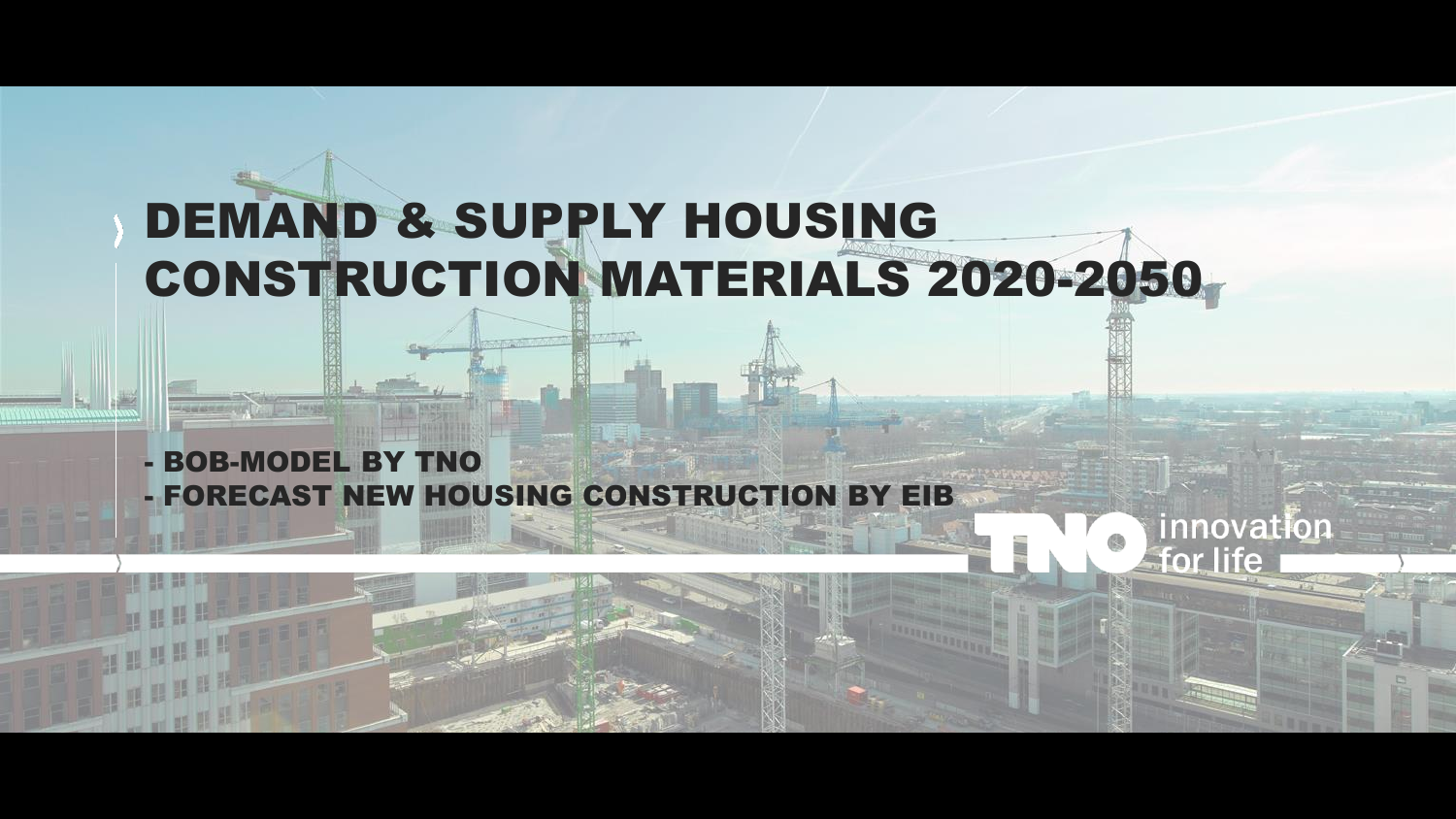## DEMAND & SUPPLY HOUSING CONSTRUCTION MATERIALS 2020-2050

innovation

for life

- BOB-MODEL BY TNO - FORECAST NEW HOUSING CONSTRUCTION BY EIB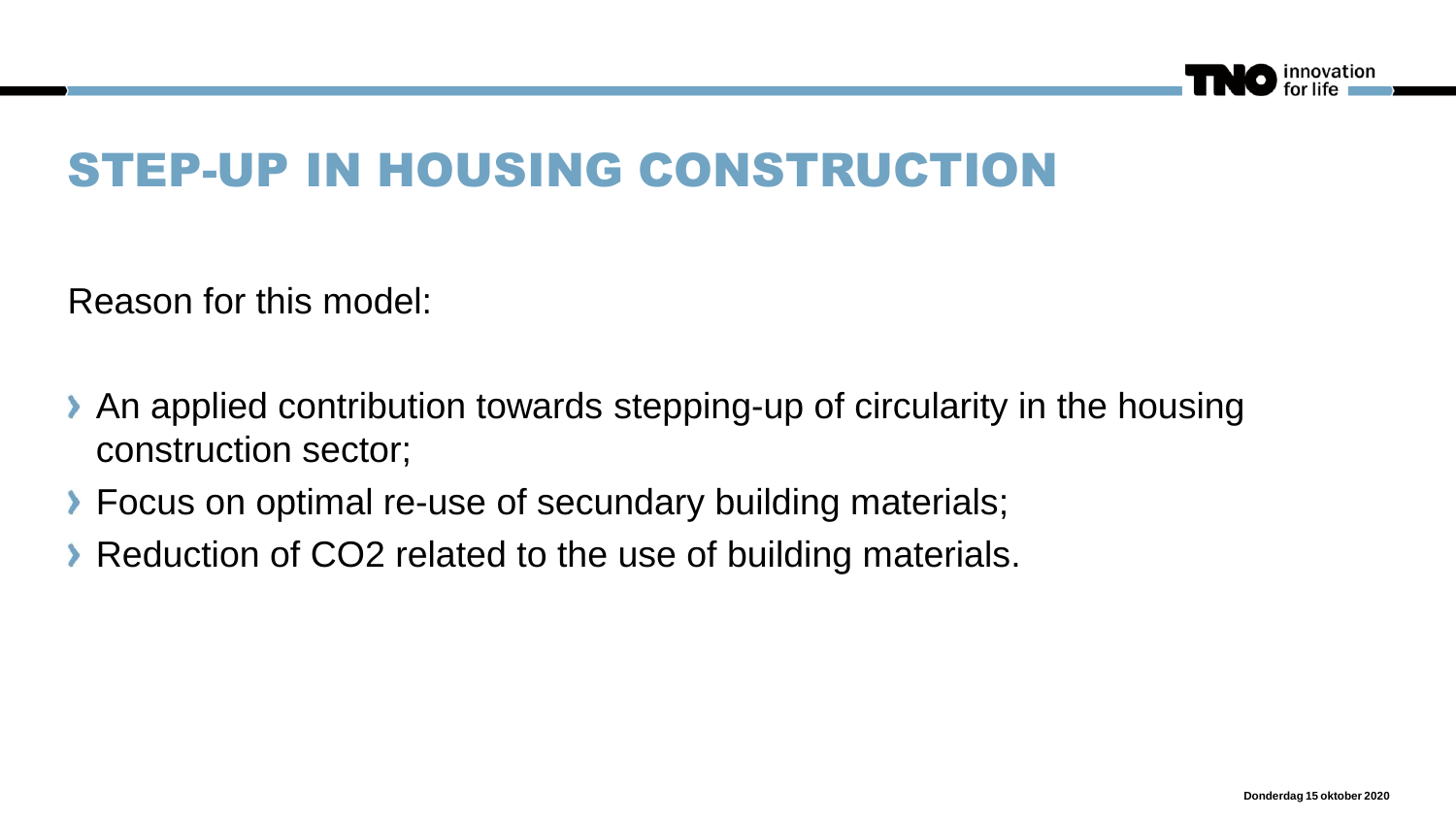

### STEP-UP IN HOUSING CONSTRUCTION

Reason for this model:

- An applied contribution towards stepping-up of circularity in the housing construction sector;
- **Focus on optimal re-use of secundary building materials;**
- Reduction of CO2 related to the use of building materials.  $\lambda$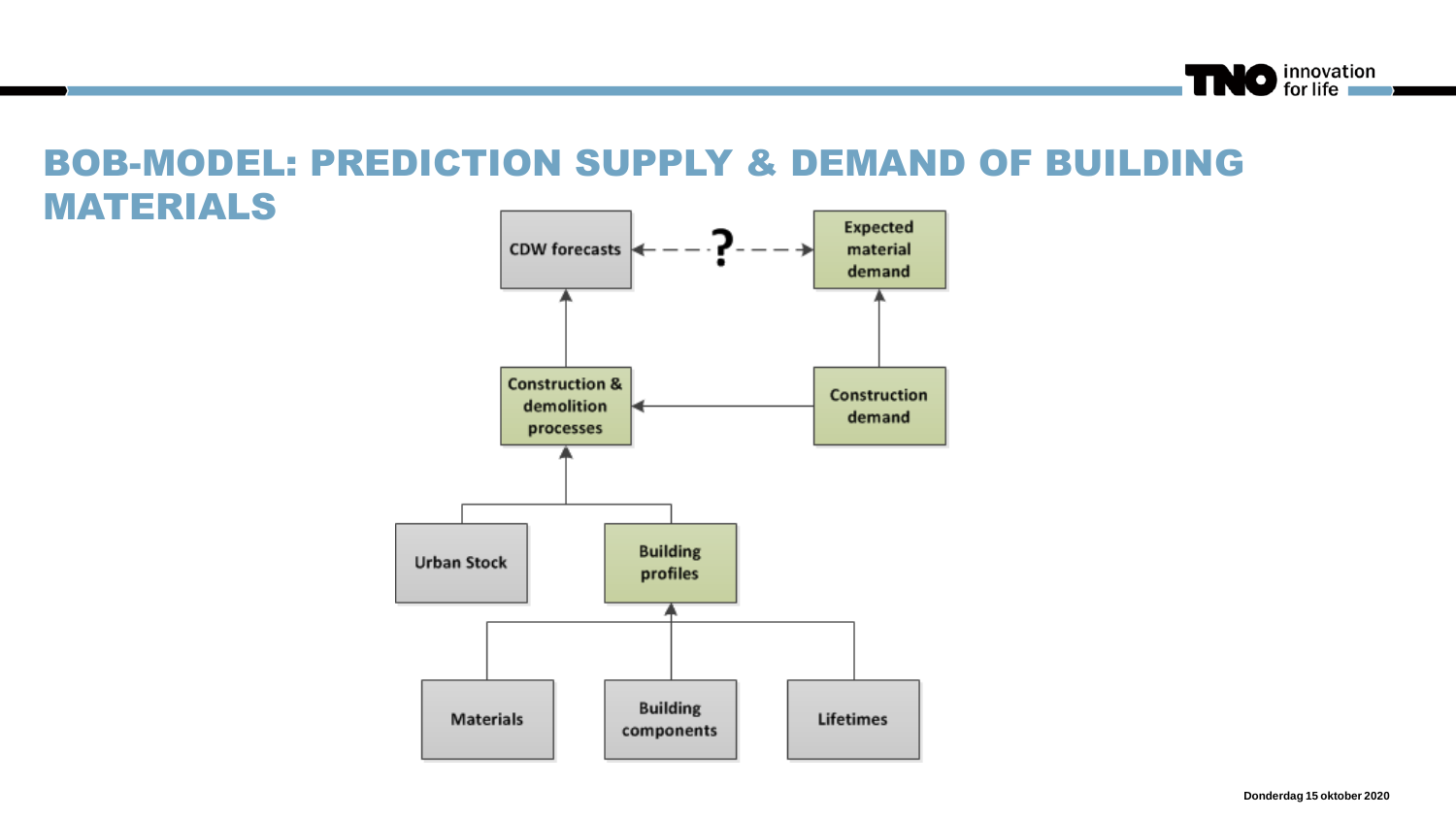

#### BOB-MODEL: PREDICTION SUPPLY & DEMAND OF BUILDING MATERIALS

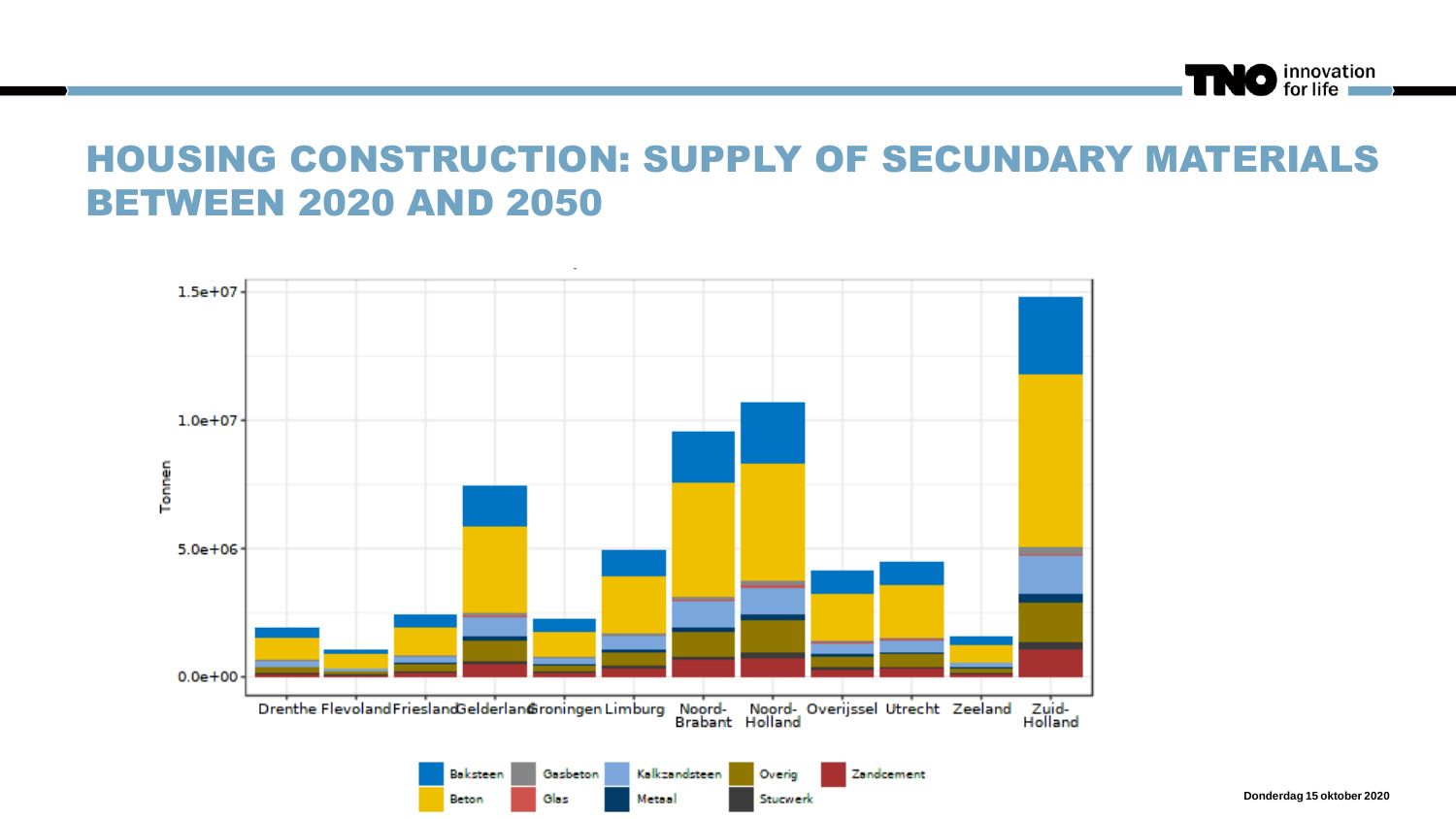

#### HOUSING CONSTRUCTION: SUPPLY OF SECUNDARY MATERIALS BETWEEN 2020 AND 2050



**Donderdag 15 oktober 2020**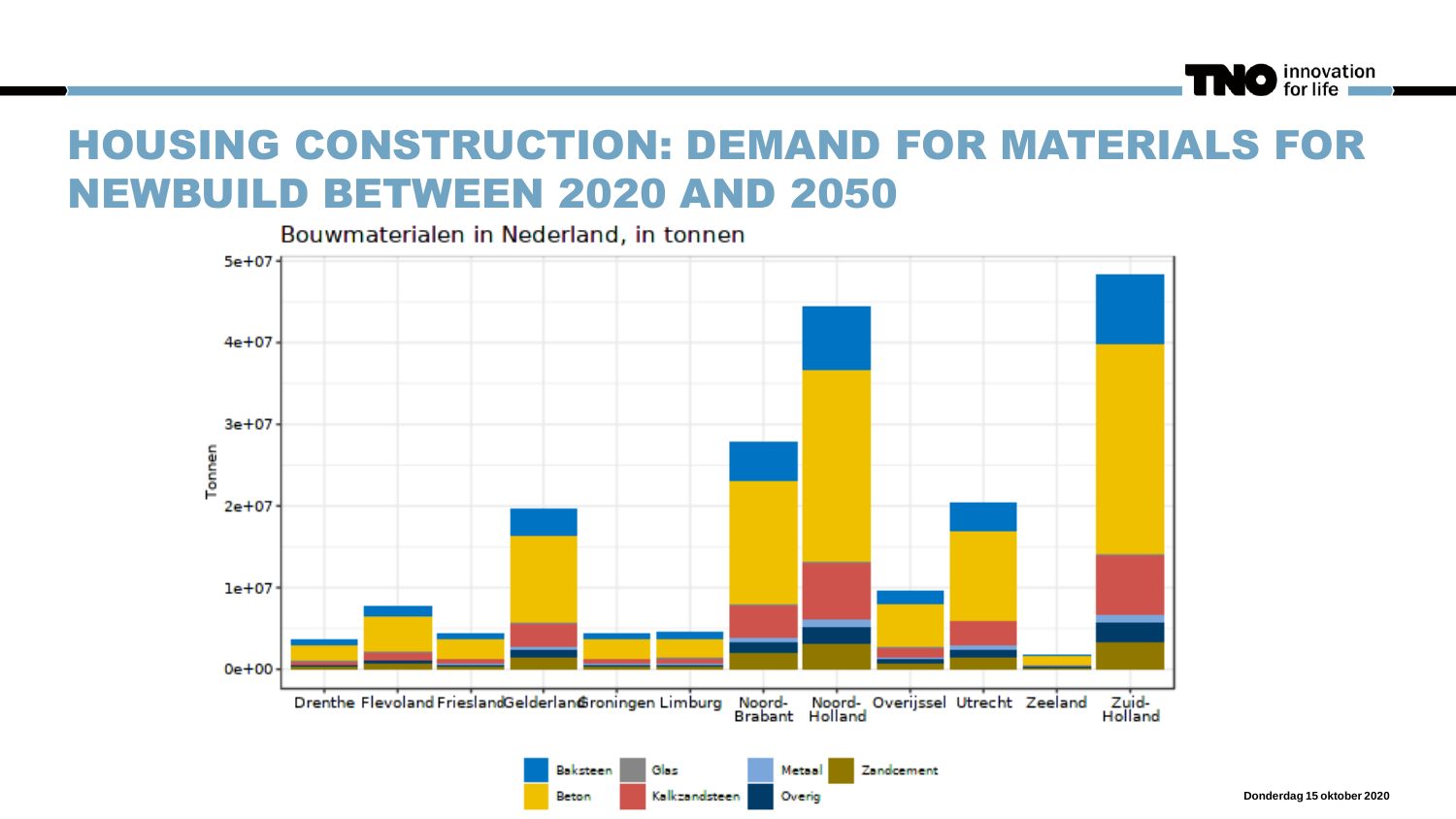#### HOUSING CONSTRUCTION: DEMAND FOR MATERIALS FOR NEWBUILD BETWEEN 2020 AND 2050

Bouwmaterialen in Nederland, in tonnen



**Donderdag 15 oktober 2020**

O innovation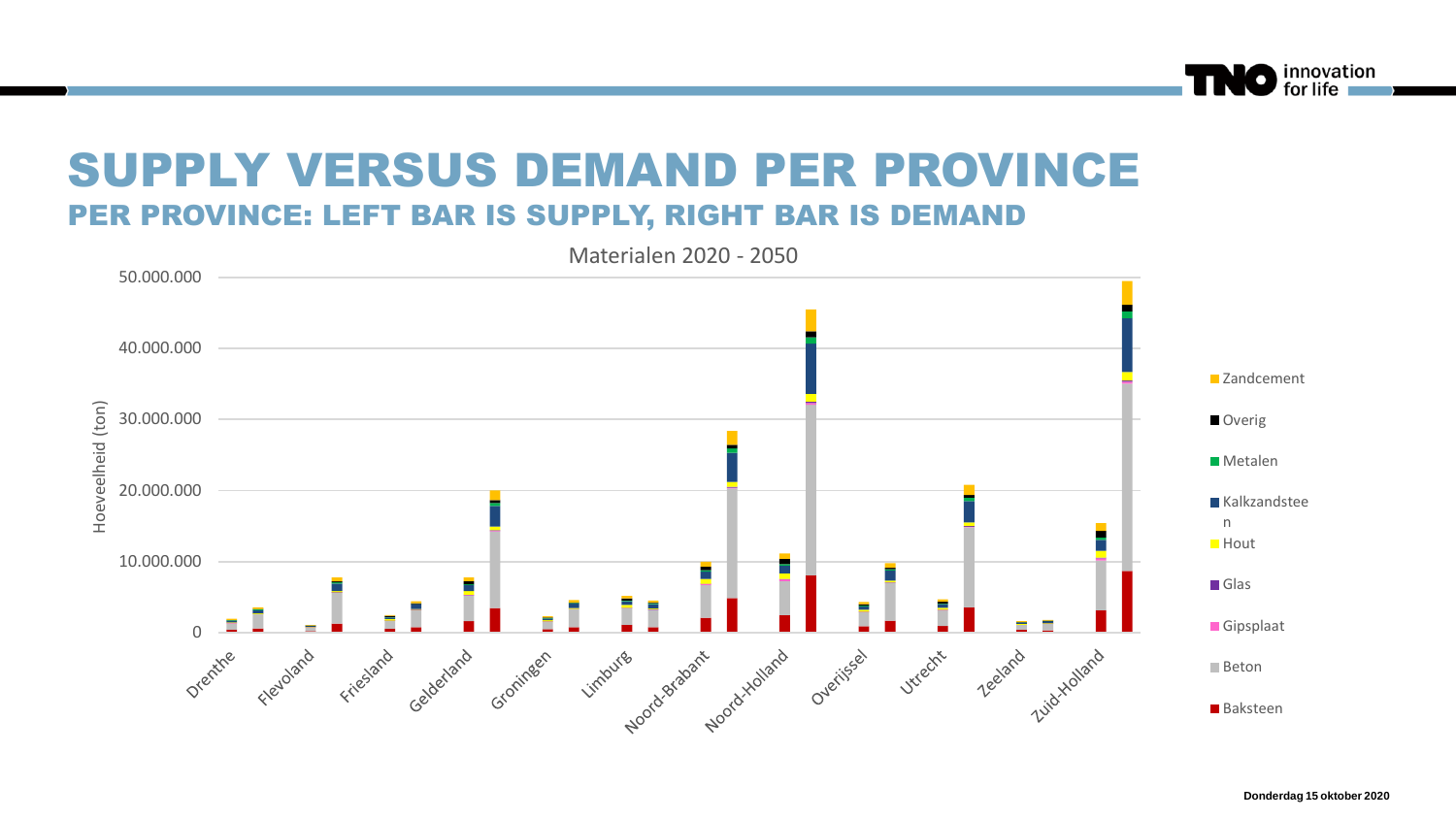



innovation<br>for life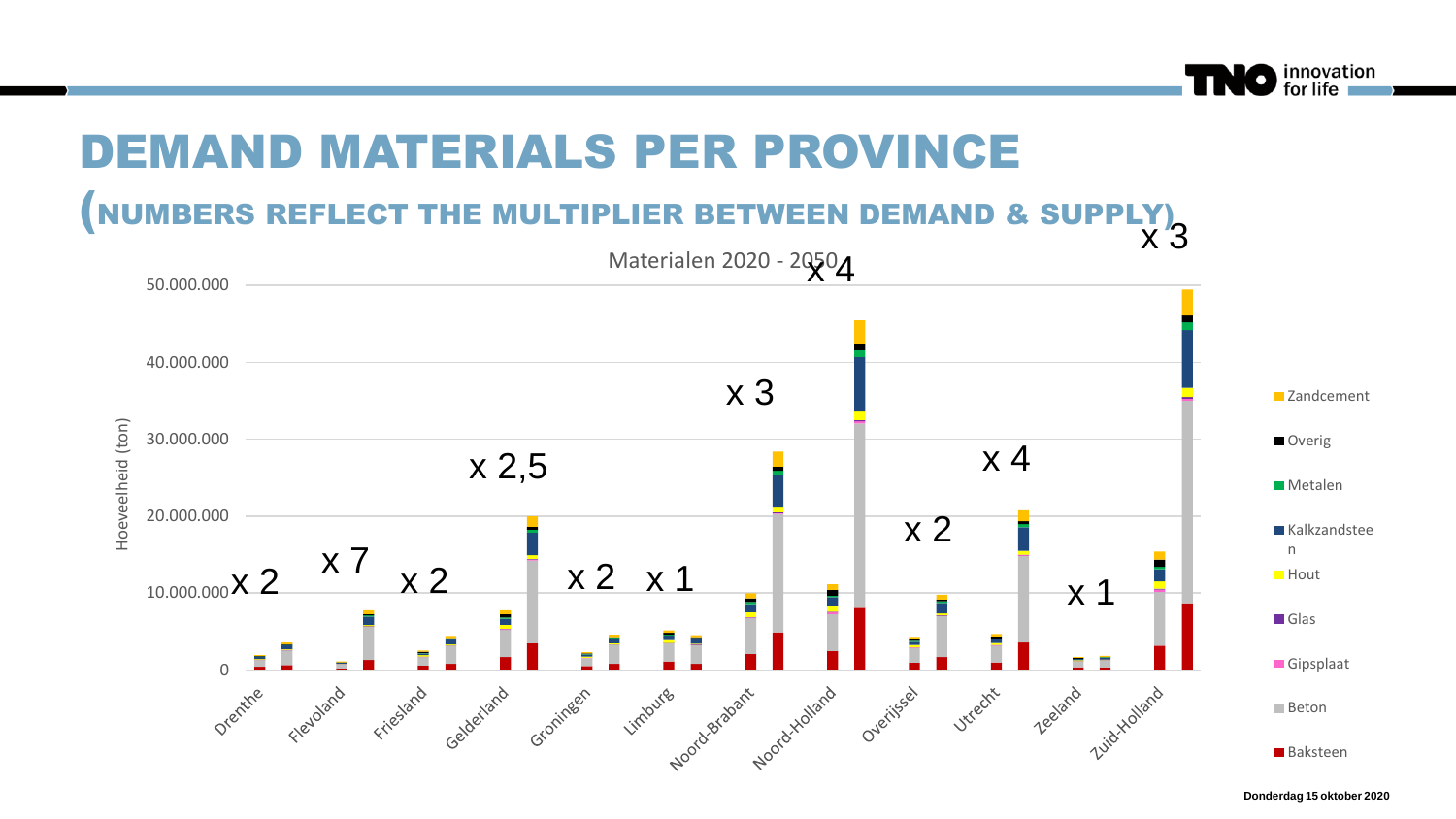

## DEMAND MATERIALS PER PROVINCE

(NUMBERS REFLECT THE MULTIPLIER BETWEEN DEMAND & SUPPLY)



**Donderdag 15 oktober 2020**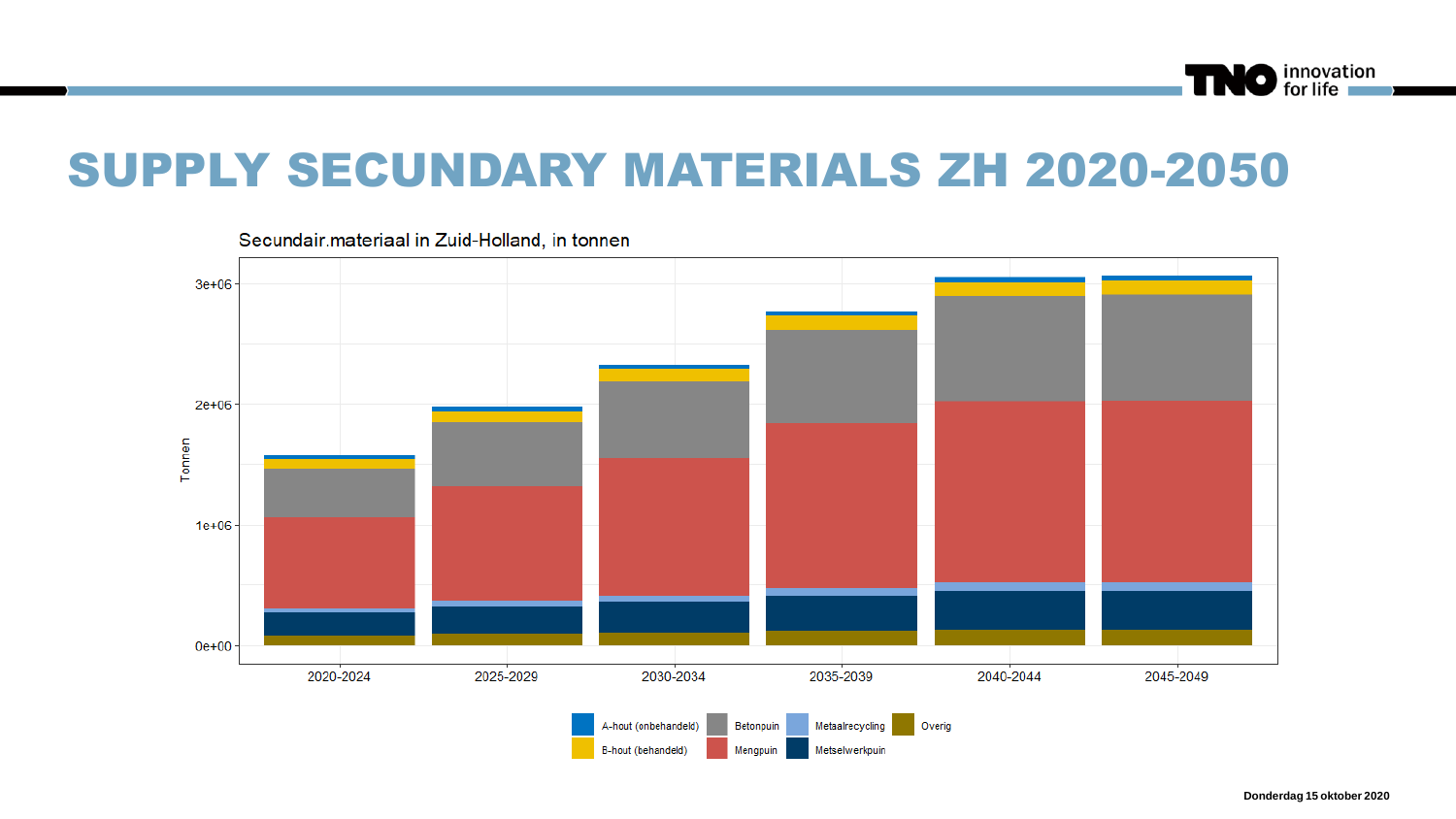

#### SUPPLY SECUNDARY MATERIALS ZH 2020-2050



Secundair.materiaal in Zuid-Holland, in tonnen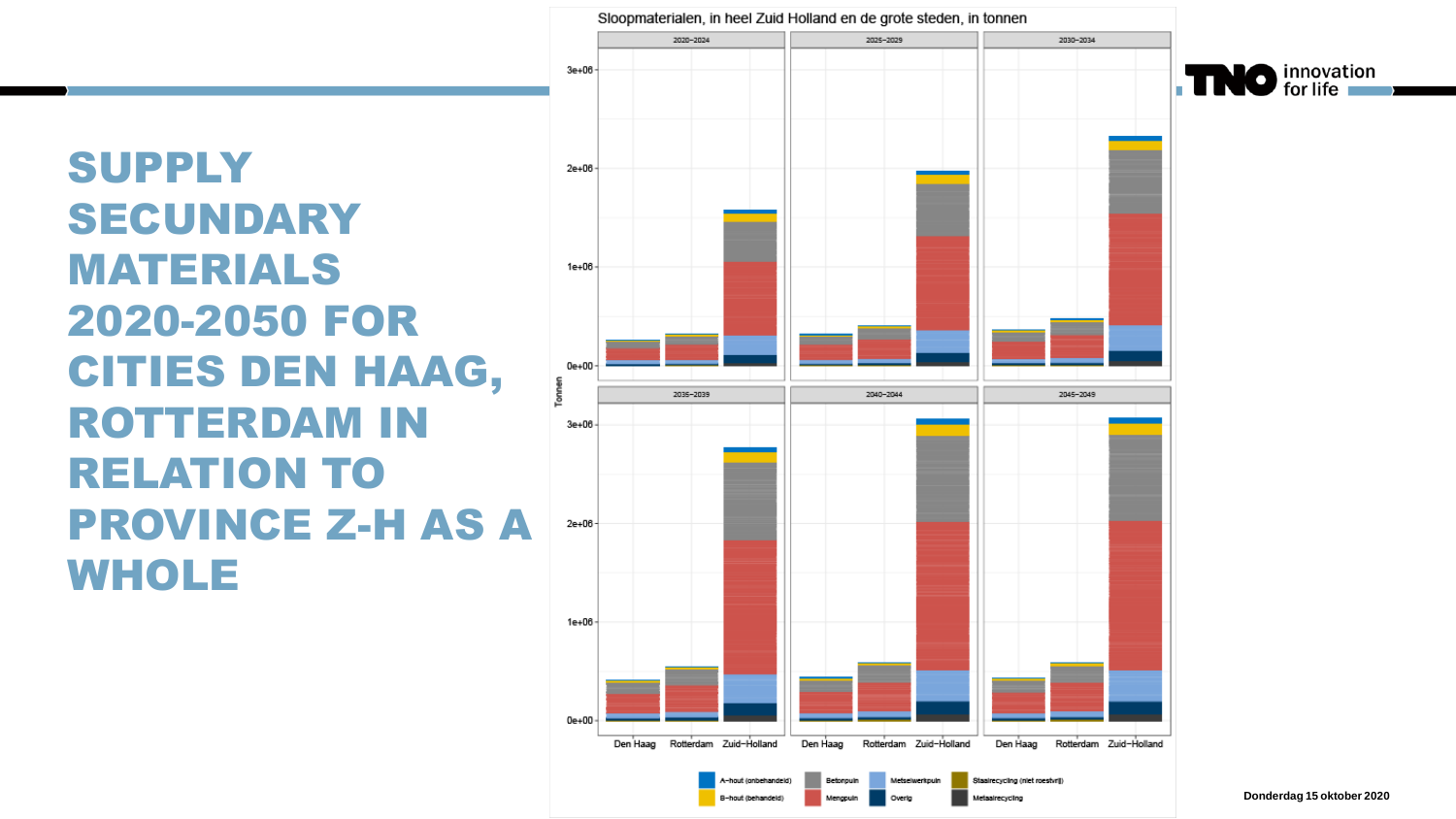#### **SUPPLY** SECUNDARY MATERIALS 2020 -2050 FOR CITIES DEN HAAG, ROTTERDAM IN RELATION TO PROVINCE Z-H AS A WHOLE



-hout (onbehandeld)

B-bout (behandeld)



(aairecycling (niet roestvrij)

**Infaairecycling**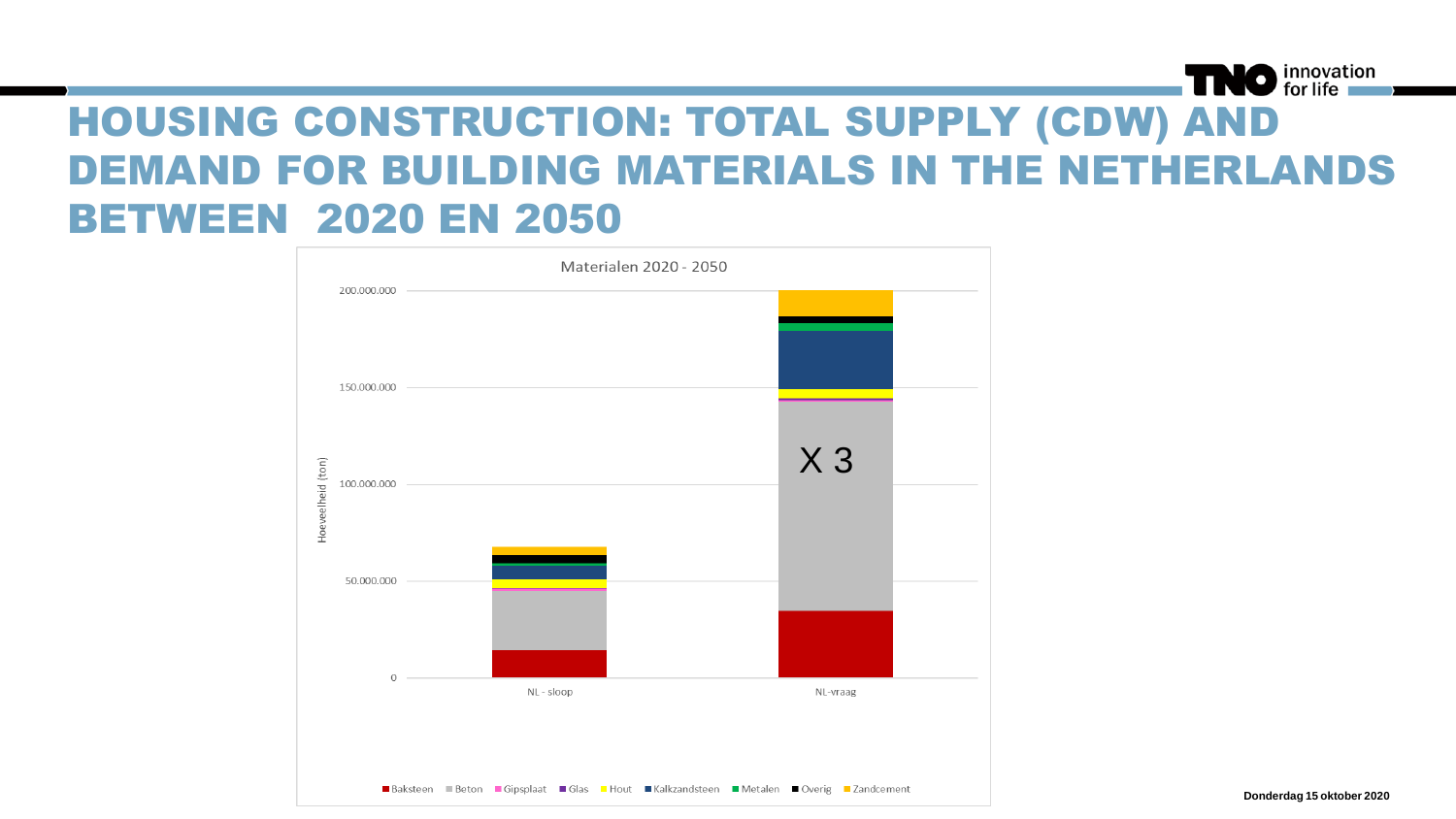#### NO innovation

#### HOUSING CONSTRUCTION: TOTAL SUPPLY (CDW) AND DEMAND FOR BUILDING MATERIALS IN THE NETHERLANDS BETWEEN 2020 EN 2050



**Donderdag 15 oktober 2020**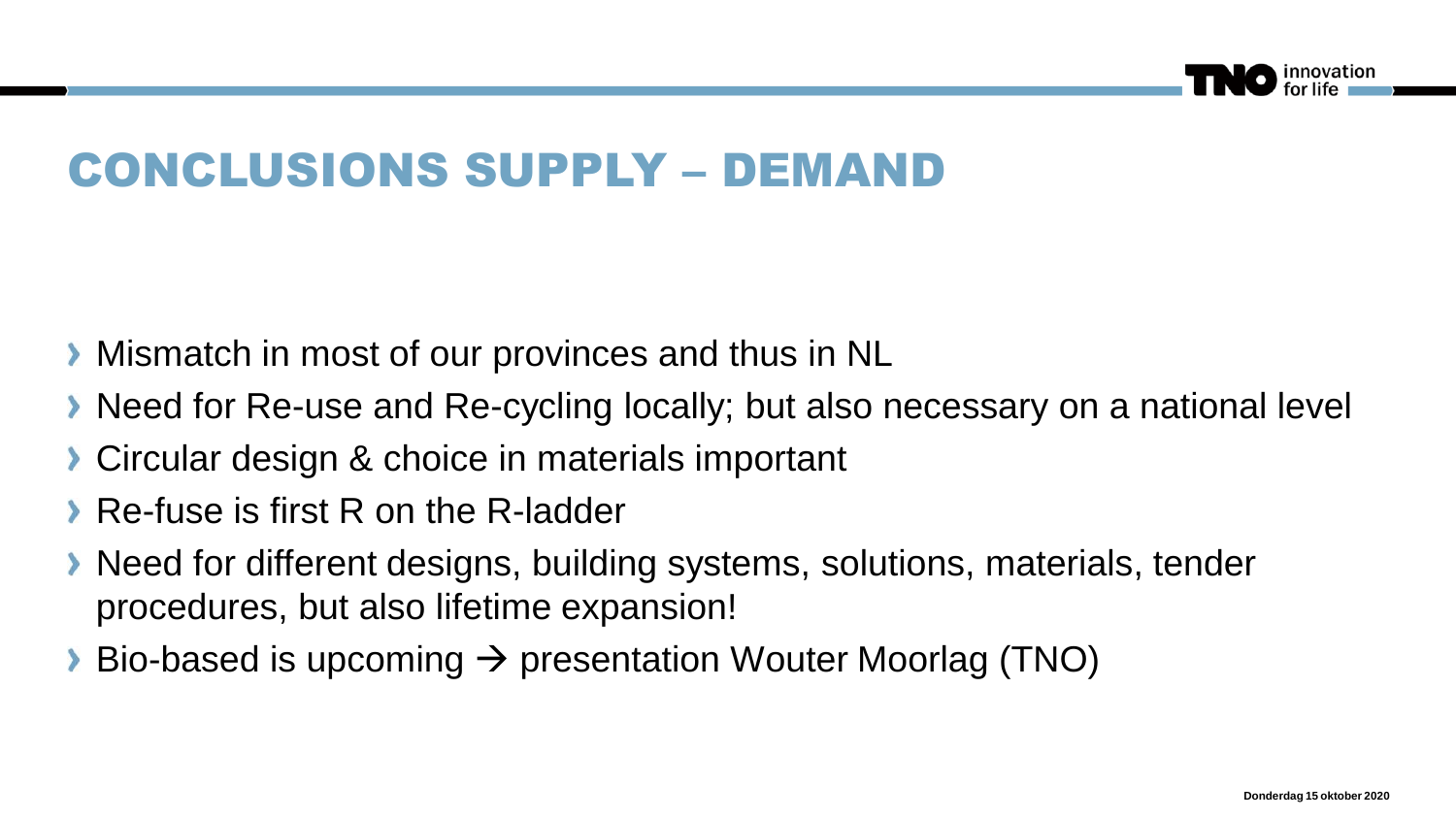

### CONCLUSIONS SUPPLY – DEMAND

- **Mismatch in most of our provinces and thus in NL**
- Need for Re-use and Re-cycling locally; but also necessary on a national level
- **Circular design & choice in materials important**
- Re-fuse is first R on the R-ladder
- Need for different designs, building systems, solutions, materials, tender procedures, but also lifetime expansion!
- Bio-based is upcoming  $\rightarrow$  presentation Wouter Moorlag (TNO)